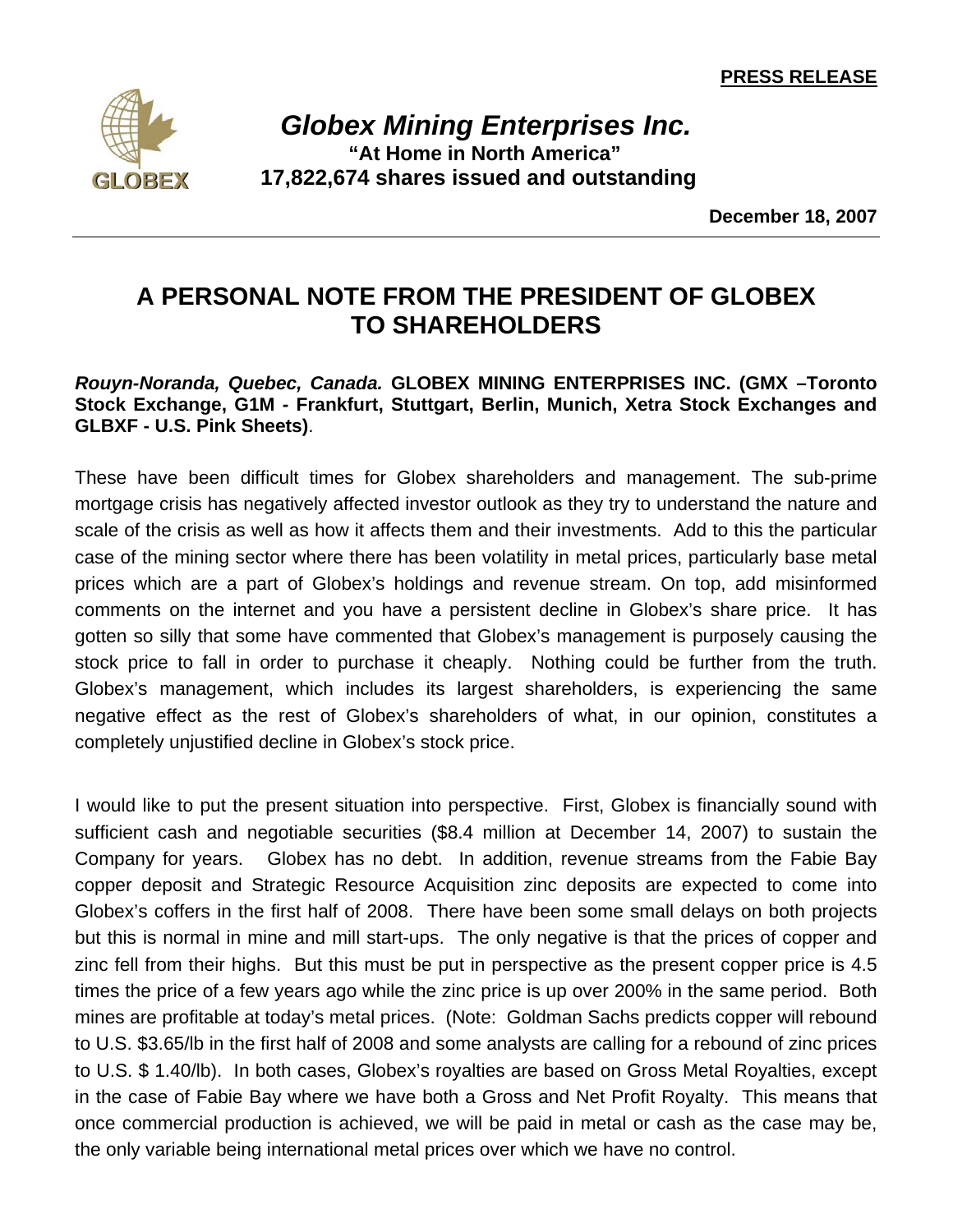**PRESS RELEASE** 



 *Globex Mining Enterprises Inc.*  **"At Home in North America" 17,822,674 shares issued and outstanding** 

**December 18, 2007**

## **A PERSONAL NOTE FROM THE PRESIDENT OF GLOBEX TO SHAREHOLDERS**

## *Rouyn-Noranda, Quebec, Canada.* **GLOBEX MINING ENTERPRISES INC. (GMX –Toronto Stock Exchange, G1M - Frankfurt, Stuttgart, Berlin, Munich, Xetra Stock Exchanges and GLBXF - U.S. Pink Sheets)**.

These have been difficult times for Globex shareholders and management. The sub-prime mortgage crisis has negatively affected investor outlook as they try to understand the nature and scale of the crisis as well as how it affects them and their investments. Add to this the particular case of the mining sector where there has been volatility in metal prices, particularly base metal prices which are a part of Globex's holdings and revenue stream. On top, add misinformed comments on the internet and you have a persistent decline in Globex's share price. It has gotten so silly that some have commented that Globex's management is purposely causing the stock price to fall in order to purchase it cheaply. Nothing could be further from the truth. Globex's management, which includes its largest shareholders, is experiencing the same negative effect as the rest of Globex's shareholders of what, in our opinion, constitutes a completely unjustified decline in Globex's stock price.

I would like to put the present situation into perspective. First, Globex is financially sound with sufficient cash and negotiable securities (\$8.4 million at December 14, 2007) to sustain the Company for years. Globex has no debt. In addition, revenue streams from the Fabie Bay copper deposit and Strategic Resource Acquisition zinc deposits are expected to come into Globex's coffers in the first half of 2008. There have been some small delays on both projects but this is normal in mine and mill start-ups. The only negative is that the prices of copper and zinc fell from their highs. But this must be put in perspective as the present copper price is 4.5 times the price of a few years ago while the zinc price is up over 200% in the same period. Both mines are profitable at today's metal prices. (Note: Goldman Sachs predicts copper will rebound to U.S. \$3.65/lb in the first half of 2008 and some analysts are calling for a rebound of zinc prices to U.S. \$ 1.40/lb). In both cases, Globex's royalties are based on Gross Metal Royalties, except in the case of Fabie Bay where we have both a Gross and Net Profit Royalty. This means that once commercial production is achieved, we will be paid in metal or cash as the case may be, the only variable being international metal prices over which we have no control.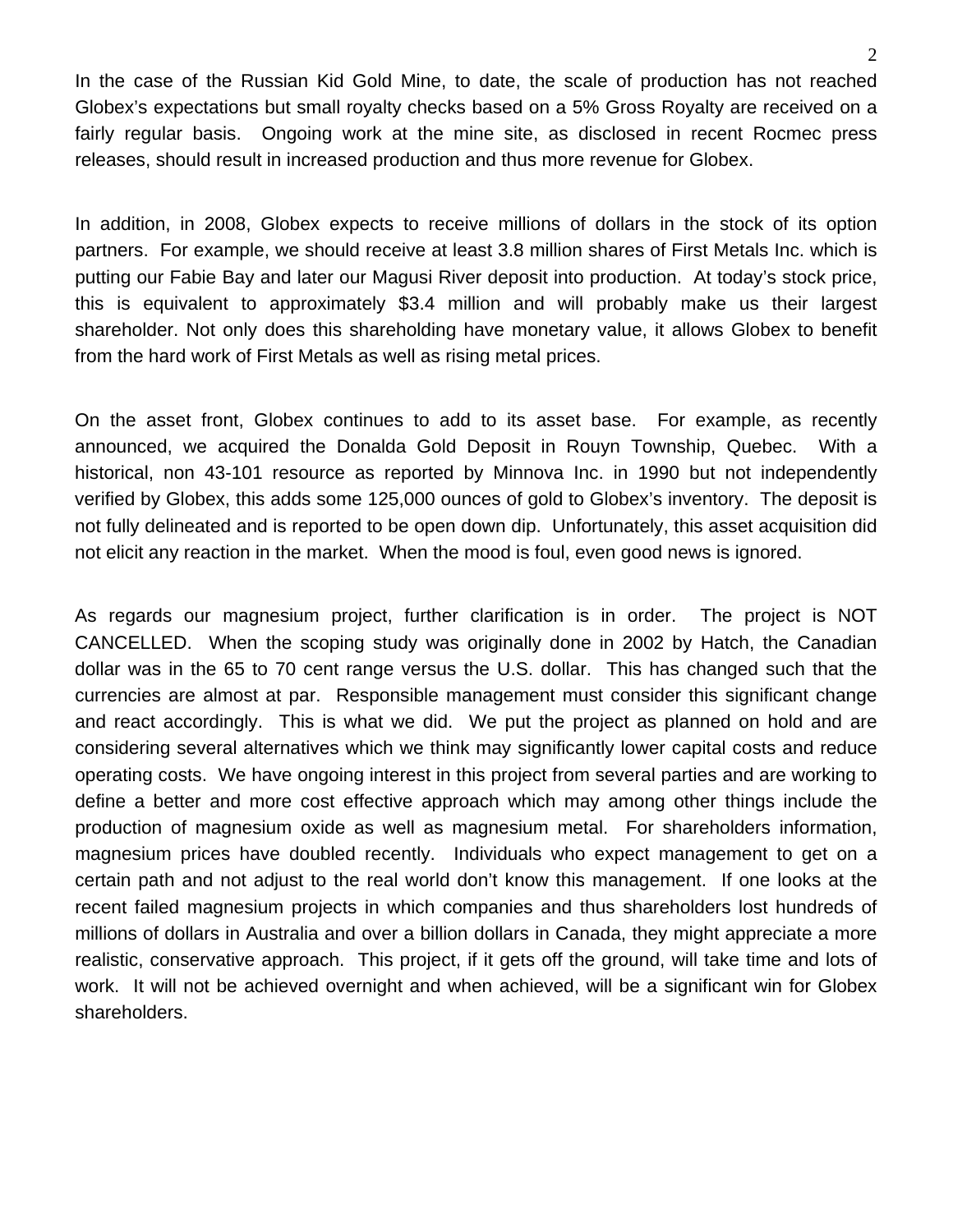In the case of the Russian Kid Gold Mine, to date, the scale of production has not reached Globex's expectations but small royalty checks based on a 5% Gross Royalty are received on a fairly regular basis. Ongoing work at the mine site, as disclosed in recent Rocmec press releases, should result in increased production and thus more revenue for Globex.

In addition, in 2008, Globex expects to receive millions of dollars in the stock of its option partners. For example, we should receive at least 3.8 million shares of First Metals Inc. which is putting our Fabie Bay and later our Magusi River deposit into production. At today's stock price, this is equivalent to approximately \$3.4 million and will probably make us their largest shareholder. Not only does this shareholding have monetary value, it allows Globex to benefit from the hard work of First Metals as well as rising metal prices.

On the asset front, Globex continues to add to its asset base. For example, as recently announced, we acquired the Donalda Gold Deposit in Rouyn Township, Quebec. With a historical, non 43-101 resource as reported by Minnova Inc. in 1990 but not independently verified by Globex, this adds some 125,000 ounces of gold to Globex's inventory. The deposit is not fully delineated and is reported to be open down dip. Unfortunately, this asset acquisition did not elicit any reaction in the market. When the mood is foul, even good news is ignored.

As regards our magnesium project, further clarification is in order. The project is NOT CANCELLED. When the scoping study was originally done in 2002 by Hatch, the Canadian dollar was in the 65 to 70 cent range versus the U.S. dollar. This has changed such that the currencies are almost at par. Responsible management must consider this significant change and react accordingly. This is what we did. We put the project as planned on hold and are considering several alternatives which we think may significantly lower capital costs and reduce operating costs. We have ongoing interest in this project from several parties and are working to define a better and more cost effective approach which may among other things include the production of magnesium oxide as well as magnesium metal. For shareholders information, magnesium prices have doubled recently. Individuals who expect management to get on a certain path and not adjust to the real world don't know this management. If one looks at the recent failed magnesium projects in which companies and thus shareholders lost hundreds of millions of dollars in Australia and over a billion dollars in Canada, they might appreciate a more realistic, conservative approach. This project, if it gets off the ground, will take time and lots of work. It will not be achieved overnight and when achieved, will be a significant win for Globex shareholders.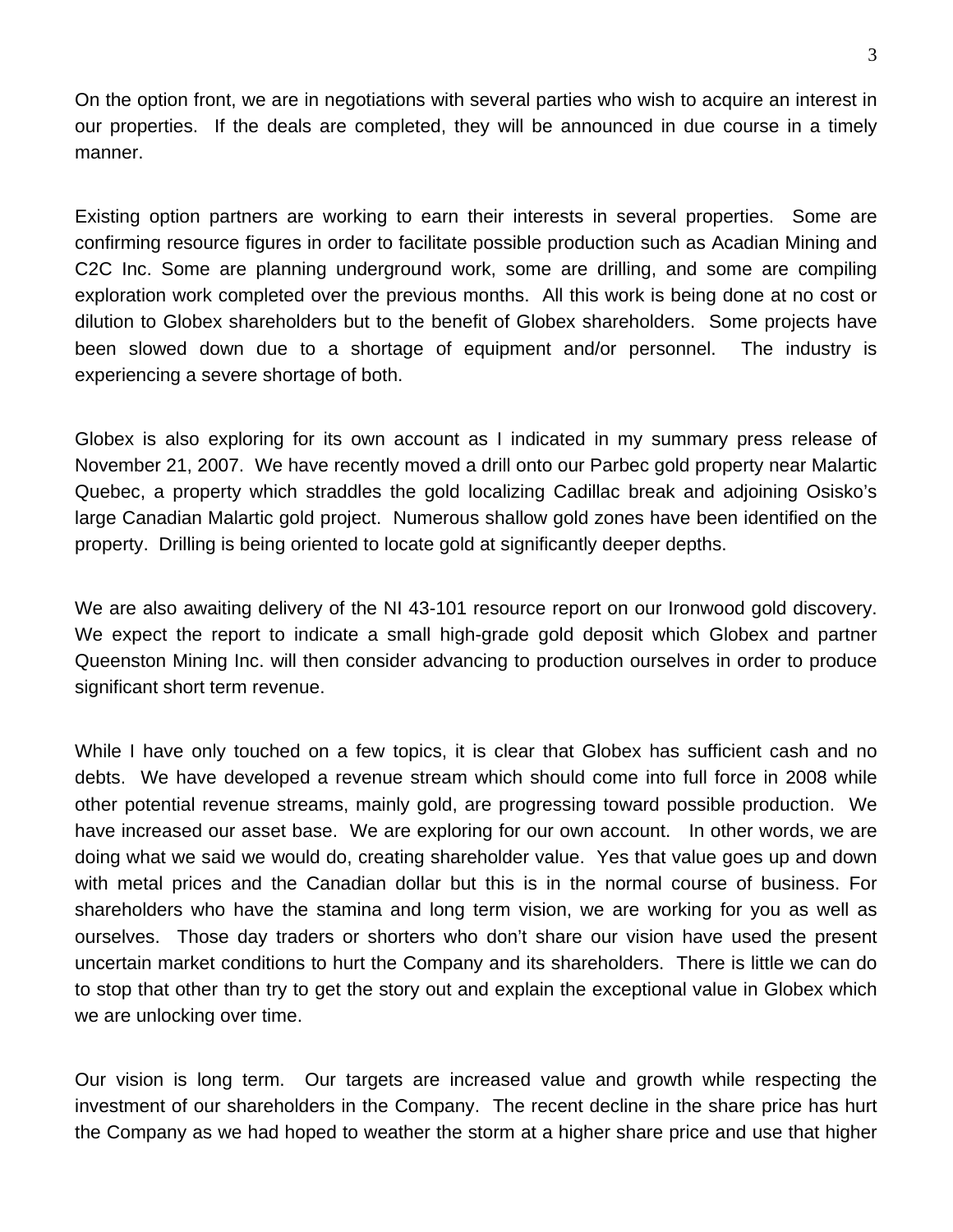On the option front, we are in negotiations with several parties who wish to acquire an interest in our properties. If the deals are completed, they will be announced in due course in a timely manner.

Existing option partners are working to earn their interests in several properties. Some are confirming resource figures in order to facilitate possible production such as Acadian Mining and C2C Inc. Some are planning underground work, some are drilling, and some are compiling exploration work completed over the previous months. All this work is being done at no cost or dilution to Globex shareholders but to the benefit of Globex shareholders. Some projects have been slowed down due to a shortage of equipment and/or personnel. The industry is experiencing a severe shortage of both.

Globex is also exploring for its own account as I indicated in my summary press release of November 21, 2007. We have recently moved a drill onto our Parbec gold property near Malartic Quebec, a property which straddles the gold localizing Cadillac break and adjoining Osisko's large Canadian Malartic gold project. Numerous shallow gold zones have been identified on the property. Drilling is being oriented to locate gold at significantly deeper depths.

We are also awaiting delivery of the NI 43-101 resource report on our Ironwood gold discovery. We expect the report to indicate a small high-grade gold deposit which Globex and partner Queenston Mining Inc. will then consider advancing to production ourselves in order to produce significant short term revenue.

While I have only touched on a few topics, it is clear that Globex has sufficient cash and no debts. We have developed a revenue stream which should come into full force in 2008 while other potential revenue streams, mainly gold, are progressing toward possible production. We have increased our asset base. We are exploring for our own account. In other words, we are doing what we said we would do, creating shareholder value. Yes that value goes up and down with metal prices and the Canadian dollar but this is in the normal course of business. For shareholders who have the stamina and long term vision, we are working for you as well as ourselves. Those day traders or shorters who don't share our vision have used the present uncertain market conditions to hurt the Company and its shareholders. There is little we can do to stop that other than try to get the story out and explain the exceptional value in Globex which we are unlocking over time.

Our vision is long term. Our targets are increased value and growth while respecting the investment of our shareholders in the Company. The recent decline in the share price has hurt the Company as we had hoped to weather the storm at a higher share price and use that higher